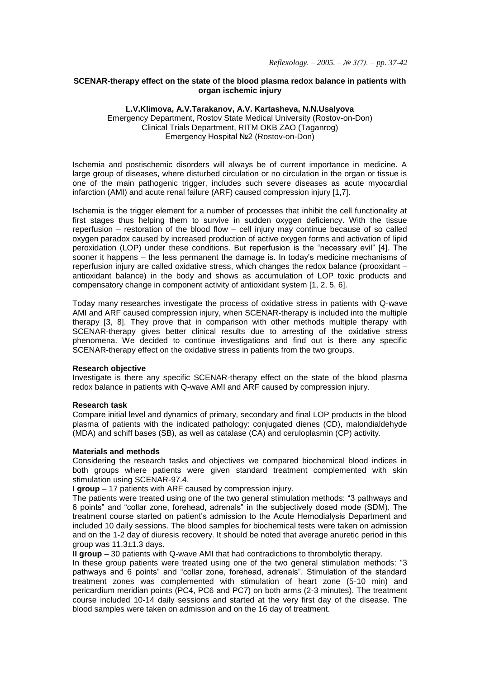*Reflexology. – 2005. – № 3(7). – pp. 37-42*

## **SCENAR-therapy effect on the state of the blood plasma redox balance in patients with organ ischemic injury**

#### **L.V.Klimova, A.V.Tarakanov, A.V. Kartasheva, N.N.Usalyova**

Emergency Department, Rostov State Medical University (Rostov-on-Don) Clinical Trials Department, RITM OKB ZAO (Taganrog) Emergency Hospital №2 (Rostov-on-Don)

Ischemia and postischemic disorders will always be of current importance in medicine. A large group of diseases, where disturbed circulation or no circulation in the organ or tissue is one of the main pathogenic trigger, includes such severe diseases as acute myocardial infarction (AMI) and acute renal failure (ARF) caused compression injury [1,7].

Ischemia is the trigger element for a number of processes that inhibit the cell functionality at first stages thus helping them to survive in sudden oxygen deficiency. With the tissue reperfusion – restoration of the blood flow – cell injury may continue because of so called oxygen paradox caused by increased production of active oxygen forms and activation of lipid peroxidation (LOP) under these conditions. But reperfusion is the "necessary evil" [4]. The sooner it happens – the less permanent the damage is. In today's medicine mechanisms of reperfusion injury are called oxidative stress, which changes the redox balance (prooxidant – antioxidant balance) in the body and shows as accumulation of LOP toxic products and compensatory change in component activity of antioxidant system [1, 2, 5, 6].

Today many researches investigate the process of oxidative stress in patients with Q-wave AMI and ARF caused compression injury, when SCENAR-therapy is included into the multiple therapy [3, 8]. They prove that in comparison with other methods multiple therapy with SCENAR-therapy gives better clinical results due to arresting of the oxidative stress phenomena. We decided to continue investigations and find out is there any specific SCENAR-therapy effect on the oxidative stress in patients from the two groups.

## **Research objective**

Investigate is there any specific SCENAR-therapy effect on the state of the blood plasma redox balance in patients with Q-wave AMI and ARF caused by compression injury.

## **Research task**

Compare initial level and dynamics of primary, secondary and final LOP products in the blood plasma of patients with the indicated pathology: conjugated dienes (CD), malondialdehyde (MDA) and schiff bases (SB), as well as catalase (CA) and ceruloplasmin (CP) activity.

## **Materials and methods**

Considering the research tasks and objectives we compared biochemical blood indices in both groups where patients were given standard treatment complemented with skin stimulation using SCENAR-97.4.

**I group** – 17 patients with ARF caused by compression injury.

The patients were treated using one of the two general stimulation methods: "3 pathways and 6 points" and "collar zone, forehead, adrenals" in the subjectively dosed mode (SDM). The treatment course started on patient's admission to the Acute Hemodialysis Department and included 10 daily sessions. The blood samples for biochemical tests were taken on admission and on the 1-2 day of diuresis recovery. It should be noted that average anuretic period in this group was 11.3±1.3 days.

**II group** – 30 patients with Q-wave AMI that had contradictions to thrombolytic therapy.

In these group patients were treated using one of the two general stimulation methods: "3 pathways and 6 points" and "collar zone, forehead, adrenals". Stimulation of the standard treatment zones was complemented with stimulation of heart zone (5-10 min) and pericardium meridian points (PC4, PC6 and PC7) on both arms (2-3 minutes). The treatment course included 10-14 daily sessions and started at the very first day of the disease. The blood samples were taken on admission and on the 16 day of treatment.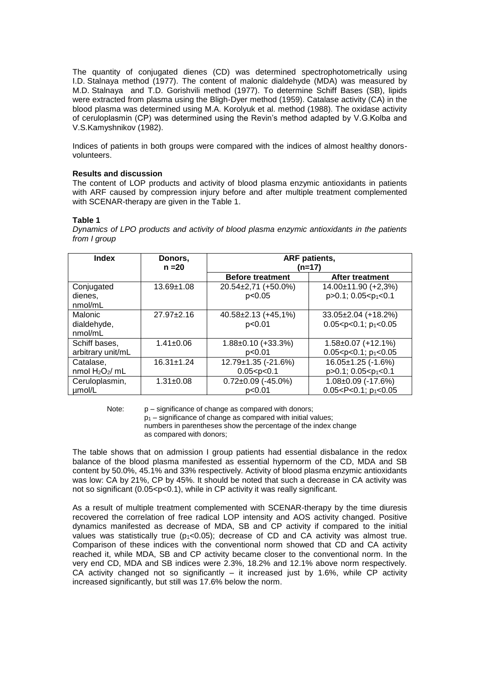The quantity of conjugated dienes (CD) was determined spectrophotometrically using I.D. Stalnava method (1977). The content of malonic dialdehyde (MDA) was measured by M.D. Stalnaya and T.D. Gorishvili method (1977). To determine Schiff Bases (SB), lipids were extracted from plasma using the Bligh-Dyer method (1959). Catalase activity (CA) in the blood plasma was determined using M.A. Korolyuk et al. method (1988). The oxidase activity of ceruloplasmin (CP) was determined using the Revin's method adapted by V.G.Kolba and V.S.Kamyshnikov (1982).

Indices of patients in both groups were compared with the indices of almost healthy donorsvolunteers.

## **Results and discussion**

The content of LOP products and activity of blood plasma enzymic antioxidants in patients with ARF caused by compression injury before and after multiple treatment complemented with SCENAR-therapy are given in the Table 1.

# Table 1

Dynamics of LPO products and activity of blood plasma enzymic antioxidants in the patients from I group

| <b>Index</b>      | Donors.<br>$n = 20$ | <b>ARF</b> patients,<br>$(n=17)$ |                                     |
|-------------------|---------------------|----------------------------------|-------------------------------------|
|                   |                     | <b>Before treatment</b>          | <b>After treatment</b>              |
| Conjugated        | $13.69 \pm 1.08$    | $20.54\pm2.71$ (+50.0%)          | 14.00±11.90 (+2,3%)                 |
| dienes,           |                     | p<0.05                           | $p > 0.1$ ; 0.05 < $p_1$ < 0.1      |
| nmol/mL           |                     |                                  |                                     |
| Malonic           | $27.97 + 2.16$      | 40.58±2.13 (+45,1%)              | $33.05 \pm 2.04$ (+18.2%)           |
| dialdehyde,       |                     | p<0.01                           | $0.05 < p < 0.1$ ; $p_1 < 0.05$     |
| nmol/mL           |                     |                                  |                                     |
| Schiff bases,     | $1.41 \pm 0.06$     | $1.88 \pm 0.10$ (+33.3%)         | $1.58 \pm 0.07$ (+12.1%)            |
| arbitrary unit/mL |                     | p<0.01                           | $0.05 < p < 0.1$ ; $p_1 < 0.05$     |
| Catalase,         | $16.31 \pm 1.24$    | 12.79±1.35 (-21.6%)              | 16.05±1.25 (-1.6%)                  |
| nmol $H_2O_2/mL$  |                     | 0.05 < p < 0.1                   | p>0.1; 0.05 <p<sub>1&lt;0.1</p<sub> |
| Ceruloplasmin,    | $1.31 \pm 0.08$     | $0.72 \pm 0.09$ (-45.0%)         | $1.08 \pm 0.09$ (-17.6%)            |
| umol/L            |                     | p<0.01                           | $0.05 < P < 0.1$ ; $p_1 < 0.05$     |

Note:

p - significance of change as compared with donors;

 $p_1$  – significance of change as compared with initial values; numbers in parentheses show the percentage of the index change as compared with donors:

The table shows that on admission I group patients had essential disbalance in the redox balance of the blood plasma manifested as essential hypernorm of the CD, MDA and SB content by 50.0%, 45.1% and 33% respectively. Activity of blood plasma enzymic antioxidants was low: CA by 21%, CP by 45%. It should be noted that such a decrease in CA activity was not so significant (0.05<p<0.1), while in CP activity it was really significant.

As a result of multiple treatment complemented with SCENAR-therapy by the time diuresis recovered the correlation of free radical LOP intensity and AOS activity changed. Positive dynamics manifested as decrease of MDA. SB and CP activity if compared to the initial values was statistically true  $(p_1<0.05)$ ; decrease of CD and CA activity was almost true. Comparison of these indices with the conventional norm showed that CD and CA activity reached it, while MDA, SB and CP activity became closer to the conventional norm. In the very end CD, MDA and SB indices were 2.3%, 18.2% and 12.1% above norm respectively. CA activity changed not so significantly - it increased just by 1.6%, while CP activity increased significantly, but still was 17.6% below the norm.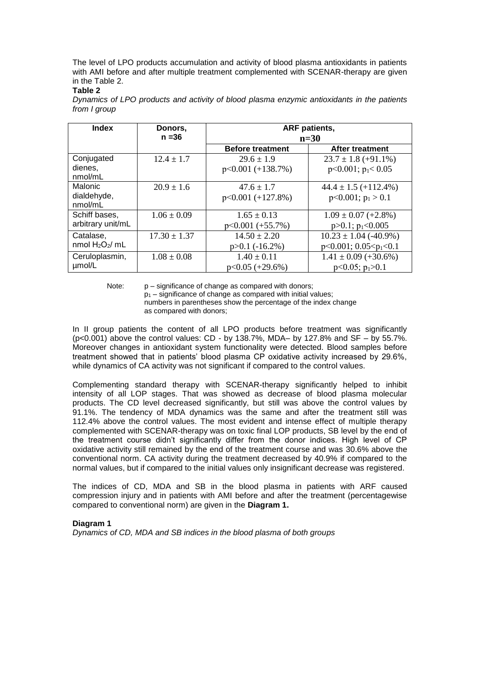The level of LPO products accumulation and activity of blood plasma antioxidants in patients with AMI before and after multiple treatment complemented with SCENAR-therapy are given in the Table 2.

#### **Table 2**

| <b>Index</b>                       | Donors,          | <b>ARF</b> patients,<br>$n=30$ |                           |
|------------------------------------|------------------|--------------------------------|---------------------------|
|                                    | $n = 36$         |                                |                           |
|                                    |                  | <b>Before treatment</b>        | After treatment           |
| Conjugated                         | $12.4 \pm 1.7$   | $29.6 \pm 1.9$                 | $23.7 \pm 1.8$ (+91.1%)   |
| dienes,<br>nmol/mL                 |                  | $p<0.001 (+138.7%)$            | $p<0.001$ ; $p1< 0.05$    |
| Malonic                            | $20.9 \pm 1.6$   | $47.6 \pm 1.7$                 | $44.4 \pm 1.5 (+112.4\%)$ |
| dialdehyde,<br>nmol/mL             |                  | $p<0.001 (+127.8%)$            | $p<0.001$ ; $p_1 > 0.1$   |
| Schiff bases,<br>arbitrary unit/mL | $1.06 \pm 0.09$  | $1.65 \pm 0.13$                | $1.09 \pm 0.07 (+2.8\%)$  |
|                                    |                  | $p<0.001 (+55.7%)$             | $p > 0.1$ ; $p_1 < 0.005$ |
| Catalase,<br>nmol $H_2O_2/mL$      | $17.30 \pm 1.37$ | $14.50 \pm 2.20$               | $10.23 \pm 1.04$ (-40.9%) |
|                                    |                  | $p > 0.1$ (-16.2%)             | $p<0.001$ ; 0.05 $$       |
| Ceruloplasmin,<br>µmol/L           | $1.08 \pm 0.08$  | $1.40 \pm 0.11$                | $1.41 \pm 0.09 (+30.6\%)$ |
|                                    |                  | $p<0.05$ (+29.6%)              | $p<0.05$ ; $p_1>0.1$      |

*Dynamics of LPO products and activity of blood plasma enzymic antioxidants in the patients from I group*

Note: p – significance of change as compared with donors;

 $p_1$  – significance of change as compared with initial values;

 numbers in parentheses show the percentage of the index change as compared with donors;

In II group patients the content of all LPO products before treatment was significantly (p<0.001) above the control values: CD - by 138.7%, MDA– by 127.8% and SF – by 55.7%. Moreover changes in antioxidant system functionality were detected. Blood samples before treatment showed that in patients' blood plasma CP oxidative activity increased by 29.6%, while dynamics of CA activity was not significant if compared to the control values.

Complementing standard therapy with SCENAR-therapy significantly helped to inhibit intensity of all LOP stages. That was showed as decrease of blood plasma molecular products. The CD level decreased significantly, but still was above the control values by 91.1%. The tendency of MDA dynamics was the same and after the treatment still was 112.4% above the control values. The most evident and intense effect of multiple therapy complemented with SCENAR-therapy was on toxic final LOP products, SB level by the end of the treatment course didn't significantly differ from the donor indices. High level of CP oxidative activity still remained by the end of the treatment course and was 30.6% above the conventional norm. CA activity during the treatment decreased by 40.9% if compared to the normal values, but if compared to the initial values only insignificant decrease was registered.

The indices of CD, MDA and SB in the blood plasma in patients with ARF caused compression injury and in patients with AMI before and after the treatment (percentagewise compared to conventional norm) are given in the **Diagram 1.**

## **Diagram 1**

*Dynamics of CD, MDA and SB indices in the blood plasma of both groups*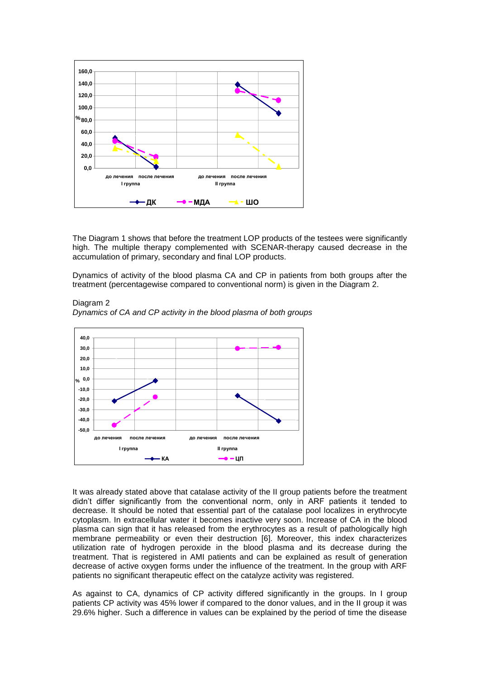

The Diagram 1 shows that before the treatment LOP products of the testees were significantly high. The multiple therapy complemented with SCENAR-therapy caused decrease in the accumulation of primary, secondary and final LOP products.

Dynamics of activity of the blood plasma CA and CP in patients from both groups after the treatment (percentagewise compared to conventional norm) is given in the Diagram 2.



*Dynamics of CA and CP activity in the blood plasma of both groups*

Diagram 2

It was already stated above that catalase activity of the II group patients before the treatment didn't differ significantly from the conventional norm, only in ARF patients it tended to decrease. It should be noted that essential part of the catalase pool localizes in erythrocyte cytoplasm. In extracellular water it becomes inactive very soon. Increase of CA in the blood plasma can sign that it has released from the erythrocytes as a result of pathologically high membrane permeability or even their destruction [6]. Moreover, this index characterizes utilization rate of hydrogen peroxide in the blood plasma and its decrease during the treatment. That is registered in AMI patients and can be explained as result of generation decrease of active oxygen forms under the influence of the treatment. In the group with ARF patients no significant therapeutic effect on the catalyze activity was registered.

As against to CA, dynamics of CP activity differed significantly in the groups. In I group patients CP activity was 45% lower if compared to the donor values, and in the II group it was 29.6% higher. Such a difference in values can be explained by the period of time the disease